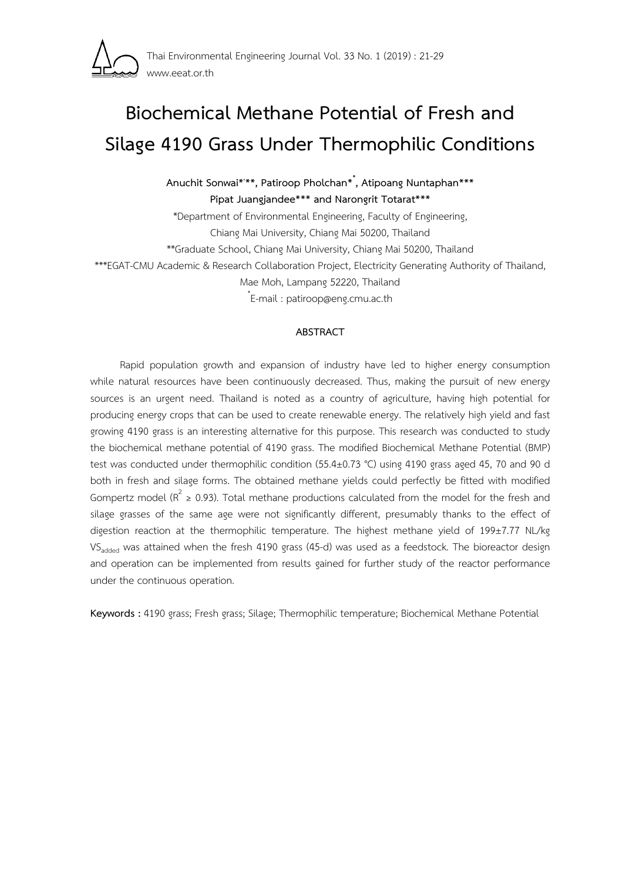

# **Biochemical Methane Potential of Fresh and Silage 4190 Grass Under Thermophilic Conditions**

**Anuchit Sonwai\*, \*\*, Patiroop Pholchan\*\* , Atipoang Nuntaphan\*\*\* Pipat Juangjandee\*\*\* and Narongrit Totarat\*\*\*** 

\*Department of Environmental Engineering, Faculty of Engineering, Chiang Mai University, Chiang Mai 50200, Thailand \*\*Graduate School, Chiang Mai University, Chiang Mai 50200, Thailand \*\*\*EGAT-CMU Academic & Research Collaboration Project, Electricity Generating Authority of Thailand, Mae Moh, Lampang 52220, Thailand \* E-mail : patiroop@eng.cmu.ac.th

# **ABSTRACT**

Rapid population growth and expansion of industry have led to higher energy consumption while natural resources have been continuously decreased. Thus, making the pursuit of new energy sources is an urgent need. Thailand is noted as a country of agriculture, having high potential for producing energy crops that can be used to create renewable energy. The relatively high yield and fast growing 4190 grass is an interesting alternative for this purpose. This research was conducted to study the biochemical methane potential of 4190 grass. The modified Biochemical Methane Potential (BMP) test was conducted under thermophilic condition (55.4±0.73 °C) using 4190 grass aged 45, 70 and 90 d both in fresh and silage forms. The obtained methane yields could perfectly be fitted with modified Gompertz model ( $R^2 \ge 0.93$ ). Total methane productions calculated from the model for the fresh and silage grasses of the same age were not significantly different, presumably thanks to the effect of digestion reaction at the thermophilic temperature. The highest methane yield of 199±7.77 NL/kg VS<sub>added</sub> was attained when the fresh 4190 grass (45-d) was used as a feedstock. The bioreactor design and operation can be implemented from results gained for further study of the reactor performance under the continuous operation.

**Keywords :** 4190 grass; Fresh grass; Silage; Thermophilic temperature; Biochemical Methane Potential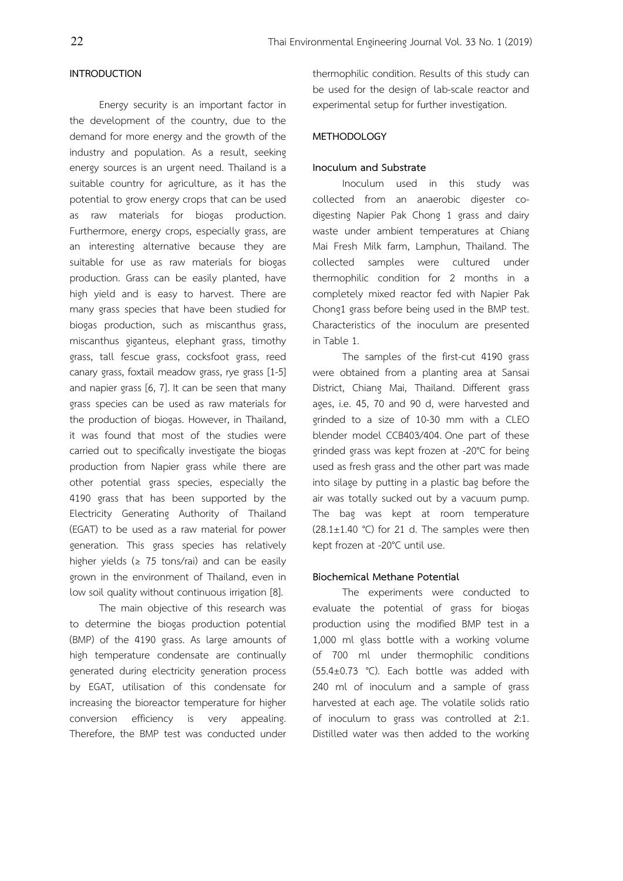#### **INTRODUCTION**

 Energy security is an important factor in the development of the country, due to the demand for more energy and the growth of the industry and population. As a result, seeking energy sources is an urgent need. Thailand is a suitable country for agriculture, as it has the potential to grow energy crops that can be used as raw materials for biogas production. Furthermore, energy crops, especially grass, are an interesting alternative because they are suitable for use as raw materials for biogas production. Grass can be easily planted, have high yield and is easy to harvest. There are many grass species that have been studied for biogas production, such as miscanthus grass, miscanthus giganteus, elephant grass, timothy grass, tall fescue grass, cocksfoot grass, reed canary grass, foxtail meadow grass, rye grass [1-5] and napier grass [6, 7]. It can be seen that many grass species can be used as raw materials for the production of biogas. However, in Thailand, it was found that most of the studies were carried out to specifically investigate the biogas production from Napier grass while there are other potential grass species, especially the 4190 grass that has been supported by the Electricity Generating Authority of Thailand (EGAT) to be used as a raw material for power generation. This grass species has relatively higher yields ( $\geq$  75 tons/rai) and can be easily grown in the environment of Thailand, even in low soil quality without continuous irrigation [8].

 The main objective of this research was to determine the biogas production potential (BMP) of the 4190 grass. As large amounts of high temperature condensate are continually generated during electricity generation process by EGAT, utilisation of this condensate for increasing the bioreactor temperature for higher conversion efficiency is very appealing. Therefore, the BMP test was conducted under

thermophilic condition. Results of this study can be used for the design of lab-scale reactor and experimental setup for further investigation.

# **METHODOLOGY**

### **Inoculum and Substrate**

Inoculum used in this study was collected from an anaerobic digester codigesting Napier Pak Chong 1 grass and dairy waste under ambient temperatures at Chiang Mai Fresh Milk farm, Lamphun, Thailand. The collected samples were cultured under thermophilic condition for 2 months in a completely mixed reactor fed with Napier Pak Chong1 grass before being used in the BMP test. Characteristics of the inoculum are presented in Table 1.

 The samples of the first-cut 4190 grass were obtained from a planting area at Sansai District, Chiang Mai, Thailand. Different grass ages, i.e. 45, 70 and 90 d, were harvested and grinded to a size of 10-30 mm with a CLEO blender model CCB403/404. One part of these grinded grass was kept frozen at -20°C for being used as fresh grass and the other part was made into silage by putting in a plastic bag before the air was totally sucked out by a vacuum pump. The bag was kept at room temperature  $(28.1 \pm 1.40 \degree C)$  for 21 d. The samples were then kept frozen at -20°C until use.

#### **Biochemical Methane Potential**

The experiments were conducted to evaluate the potential of grass for biogas production using the modified BMP test in a 1,000 ml glass bottle with a working volume of 700 ml under thermophilic conditions (55.4±0.73 °C). Each bottle was added with 240 ml of inoculum and a sample of grass harvested at each age. The volatile solids ratio of inoculum to grass was controlled at 2:1. Distilled water was then added to the working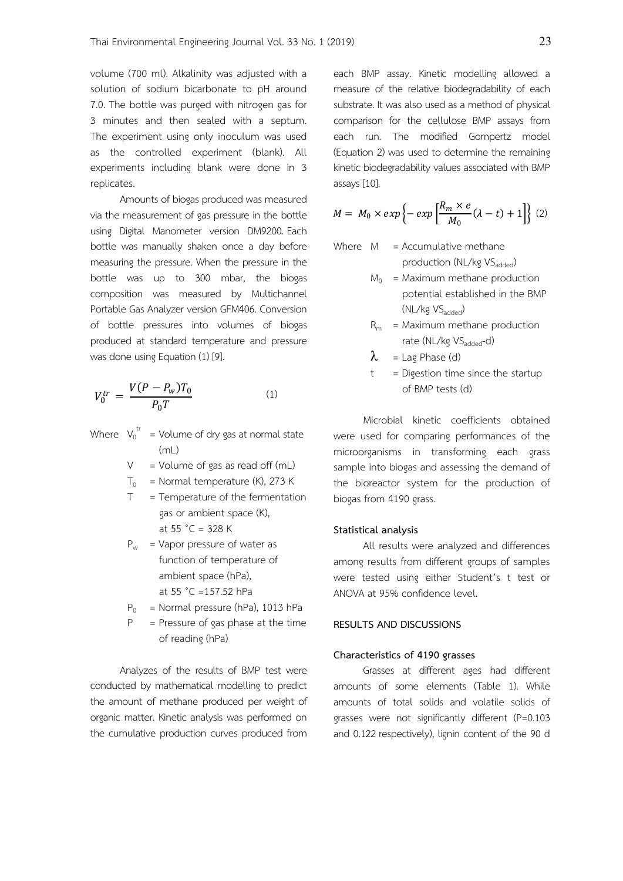volume (700 ml). Alkalinity was adjusted with a solution of sodium bicarbonate to pH around 7.0. The bottle was purged with nitrogen gas for 3 minutes and then sealed with a septum. The experiment using only inoculum was used as the controlled experiment (blank). All experiments including blank were done in 3 replicates.

 Amounts of biogas produced was measured via the measurement of gas pressure in the bottle using Digital Manometer version DM9200. Each bottle was manually shaken once a day before measuring the pressure. When the pressure in the bottle was up to 300 mbar, the biogas composition was measured by Multichannel Portable Gas Analyzer version GFM406. Conversion of bottle pressures into volumes of biogas produced at standard temperature and pressure was done using Equation (1) [9].

$$
V_0^{tr} = \frac{V(P - P_w)T_0}{P_0 T}
$$
 (1)

Where  $V_0^{tr}$  = Volume of dry gas at normal state  $(mL)$ 

 $V = Volume of gas as read off (mL)$ 

- $T_0$  = Normal temperature (K), 273 K
- $T = T$  = Temperature of the fermentation gas or ambient space (K), at  $55 °C = 328 K$
- $P_w$  = Vapor pressure of water as function of temperature of ambient space (hPa), at 55 ˚C =157.52 hPa
- $P_0$  = Normal pressure (hPa), 1013 hPa
- $P =$  Pressure of gas phase at the time of reading (hPa)

 Analyzes of the results of BMP test were conducted by mathematical modelling to predict the amount of methane produced per weight of organic matter. Kinetic analysis was performed on the cumulative production curves produced from

each BMP assay. Kinetic modelling allowed a measure of the relative biodegradability of each substrate. It was also used as a method of physical comparison for the cellulose BMP assays from each run. The modified Gompertz model (Equation 2) was used to determine the remaining kinetic biodegradability values associated with BMP assays [10].

$$
M = M_0 \times exp\left\{-\exp\left[\frac{R_m \times e}{M_0}(\lambda - t) + 1\right]\right\}
$$
 (2)

- Where  $M =$  Accumulative methane production (NL/kg VSadded)
	- $M_0$  = Maximum methane production potential established in the BMP  $(NL/kg VS_{added})$
	- $R_m$  = Maximum methane production rate (NL/kg VS<sub>added</sub>-d)
	- $\lambda$  = Lag Phase (d)
	- $t =$  Digestion time since the startup of BMP tests (d)

Microbial kinetic coefficients obtained were used for comparing performances of the microorganisms in transforming each grass sample into biogas and assessing the demand of the bioreactor system for the production of biogas from 4190 grass.

#### **Statistical analysis**

All results were analyzed and differences among results from different groups of samples were tested using either Student's t test or ANOVA at 95% confidence level.

### **RESULTS AND DISCUSSIONS**

#### **Characteristics of 4190 grasses**

Grasses at different ages had different amounts of some elements (Table 1). While amounts of total solids and volatile solids of grasses were not significantly different (P=0.103 and 0.122 respectively), lignin content of the 90 d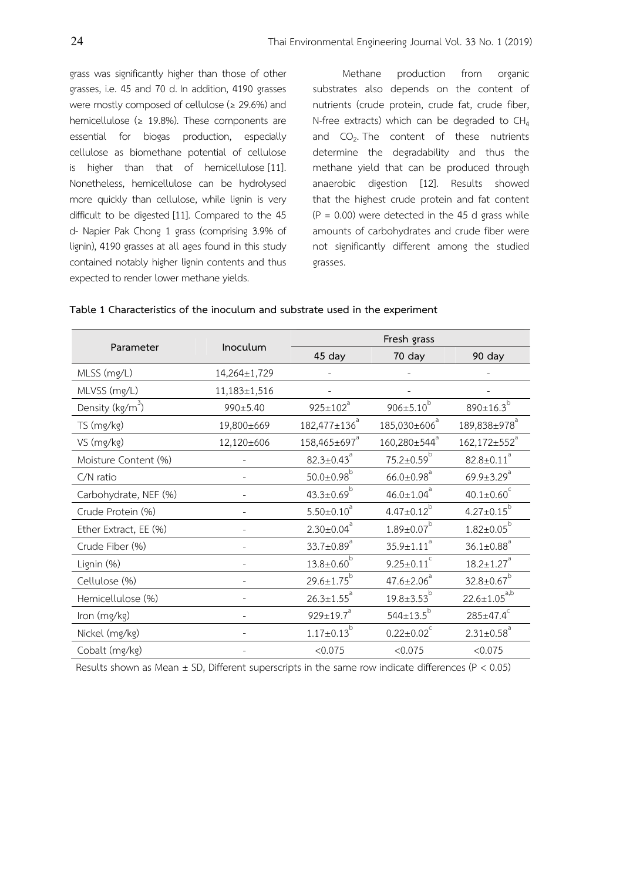grass was significantly higher than those of other grasses, i.e. 45 and 70 d. In addition, 4190 grasses were mostly composed of cellulose (≥ 29.6%) and hemicellulose ( $\geq$  19.8%). These components are essential for biogas production, especially cellulose as biomethane potential of cellulose is higher than that of hemicellulose [11]. Nonetheless, hemicellulose can be hydrolysed more quickly than cellulose, while lignin is very difficult to be digested [11]. Compared to the 45 d- Napier Pak Chong 1 grass (comprising 3.9% of lignin), 4190 grasses at all ages found in this study contained notably higher lignin contents and thus expected to render lower methane yields.

Methane production from organic substrates also depends on the content of nutrients (crude protein, crude fat, crude fiber, N-free extracts) which can be degraded to  $CH<sub>4</sub>$ and  $CO<sub>2</sub>$ . The content of these nutrients determine the degradability and thus the methane yield that can be produced through anaerobic digestion [12]. Results showed that the highest crude protein and fat content  $(P = 0.00)$  were detected in the 45 d grass while amounts of carbohydrates and crude fiber were not significantly different among the studied grasses.

|                              | Inoculum           | Fresh grass                  |                              |                              |  |  |
|------------------------------|--------------------|------------------------------|------------------------------|------------------------------|--|--|
| Parameter                    |                    | 45 day                       | 70 day                       | 90 day                       |  |  |
| MLSS (mg/L)                  | 14,264±1,729       |                              |                              |                              |  |  |
| MLVSS (mg/L)                 | $11,183 \pm 1,516$ |                              |                              |                              |  |  |
| Density (kg/m <sup>3</sup> ) | 990±5.40           | $925 \pm 102^a$              | $906 \pm 5.10^b$             | 890 $\pm$ 16.3 $^{\circ}$    |  |  |
| TS (mg/kg)                   | 19,800±669         | $182,477 \pm 136^a$          | 185,030±606 <sup>ª</sup>     | 189,838±978 <sup>ª</sup>     |  |  |
| VS (mg/kg)                   | 12,120±606         | 158,465±697 <sup>a</sup>     | $160,280\pm544^{\circ}$      | $162,172\pm552^{a}$          |  |  |
| Moisture Content (%)         |                    | $82.3 \pm 0.43^{\circ}$      | $75.2 \pm 0.59^b$            | $82.8 \pm 0.11$ <sup>a</sup> |  |  |
| C/N ratio                    |                    | $50.0 \pm 0.98^b$            | $66.0 \pm 0.98$ <sup>a</sup> | 69.9 $\pm$ 3.29 <sup>a</sup> |  |  |
| Carbohydrate, NEF (%)        |                    | $43.3 \pm 0.69^b$            | $46.0 \pm 1.04$ <sup>a</sup> | 40.1 $\pm$ 0.60 <sup>c</sup> |  |  |
| Crude Protein (%)            |                    | $5.50 \pm 0.10^a$            | $4.47 \pm 0.12^{b}$          | $4.27 \pm 0.15^{b}$          |  |  |
| Ether Extract, EE (%)        |                    | $2.30 \pm 0.04^a$            | $1.89 \pm 0.07^b$            | $1.82 \pm 0.05^{b}$          |  |  |
| Crude Fiber (%)              |                    | 33.7 $\pm$ 0.89 <sup>a</sup> | $35.9 \pm 1.11$ <sup>a</sup> | $36.1 \pm 0.88$ <sup>a</sup> |  |  |
| Lignin (%)                   |                    | $13.8 \pm 0.60^b$            | $9.25 \pm 0.11$ <sup>c</sup> | $18.2 \pm 1.27$ <sup>a</sup> |  |  |
| Cellulose (%)                |                    | $29.6 \pm 1.75^{b}$          | $47.6 \pm 2.06^a$            | $32.8 \pm 0.67^{b}$          |  |  |
| Hemicellulose (%)            |                    | $26.3 \pm 1.55$ <sup>a</sup> | $19.8 \pm 3.53^{b}$          | $22.6 \pm 1.05^{a,b}$        |  |  |
| Iron (mg/kg)                 |                    | $929 \pm 19.7$ <sup>a</sup>  | $544 \pm 13.5^{b}$           | $285 \pm 47.4^{\circ}$       |  |  |
| Nickel (mg/kg)               |                    | $1.17 \pm 0.13^{b}$          | $0.22 \pm 0.02^c$            | $2.31 \pm 0.58$ <sup>a</sup> |  |  |
| Cobalt (mg/kg)               |                    | < 0.075                      | < 0.075                      | < 0.075                      |  |  |

| Table 1 Characteristics of the inoculum and substrate used in the experiment |  |  |  |  |
|------------------------------------------------------------------------------|--|--|--|--|
|                                                                              |  |  |  |  |

Results shown as Mean  $\pm$  SD, Different superscripts in the same row indicate differences (P < 0.05)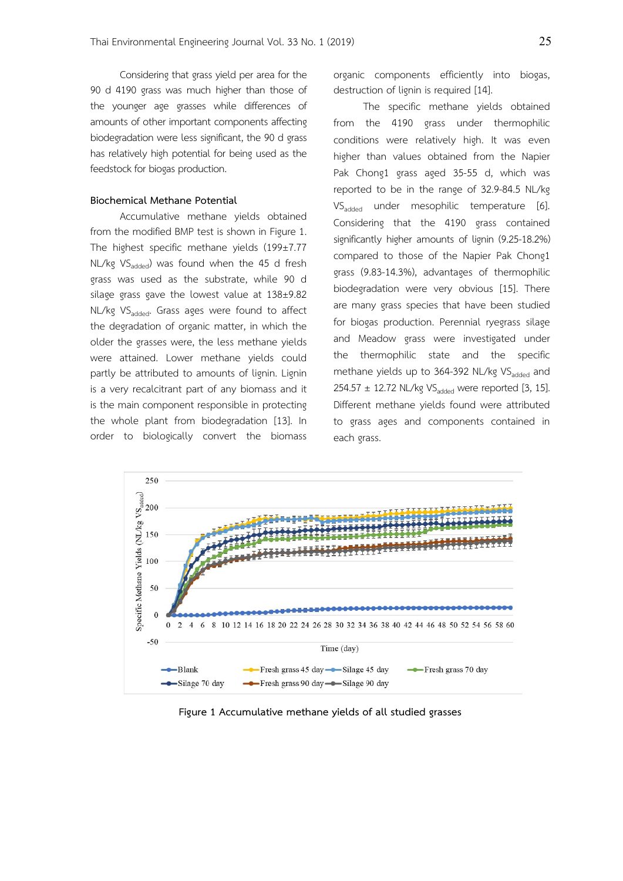Considering that grass yield per area for the 90 d 4190 grass was much higher than those of the younger age grasses while differences of amounts of other important components affecting biodegradation were less significant, the 90 d grass has relatively high potential for being used as the feedstock for biogas production.

# **Biochemical Methane Potential**

Accumulative methane yields obtained from the modified BMP test is shown in Figure 1. The highest specific methane yields (199±7.77 NL/kg  $VS_{\text{added}}$ ) was found when the 45 d fresh grass was used as the substrate, while 90 d silage grass gave the lowest value at 138±9.82 NL/kg VS<sub>added</sub>. Grass ages were found to affect the degradation of organic matter, in which the older the grasses were, the less methane yields were attained. Lower methane yields could partly be attributed to amounts of lignin. Lignin is a very recalcitrant part of any biomass and it is the main component responsible in protecting the whole plant from biodegradation [13]. In order to biologically convert the biomass organic components efficiently into biogas, destruction of lignin is required [14].

The specific methane yields obtained from the 4190 grass under thermophilic conditions were relatively high. It was even higher than values obtained from the Napier Pak Chong1 grass aged 35-55 d, which was reported to be in the range of 32.9-84.5 NL/kg VS<sub>added</sub> under mesophilic temperature [6]. Considering that the 4190 grass contained significantly higher amounts of lignin (9.25-18.2%) compared to those of the Napier Pak Chong1 grass (9.83-14.3%), advantages of thermophilic biodegradation were very obvious [15]. There are many grass species that have been studied for biogas production. Perennial ryegrass silage and Meadow grass were investigated under the thermophilic state and the specific methane yields up to 364-392 NL/kg VS<sub>added</sub> and 254.57  $\pm$  12.72 NL/kg VS<sub>added</sub> were reported [3, 15]. Different methane yields found were attributed to grass ages and components contained in each grass.



**Figure 1 Accumulative methane yields of all studied grasses**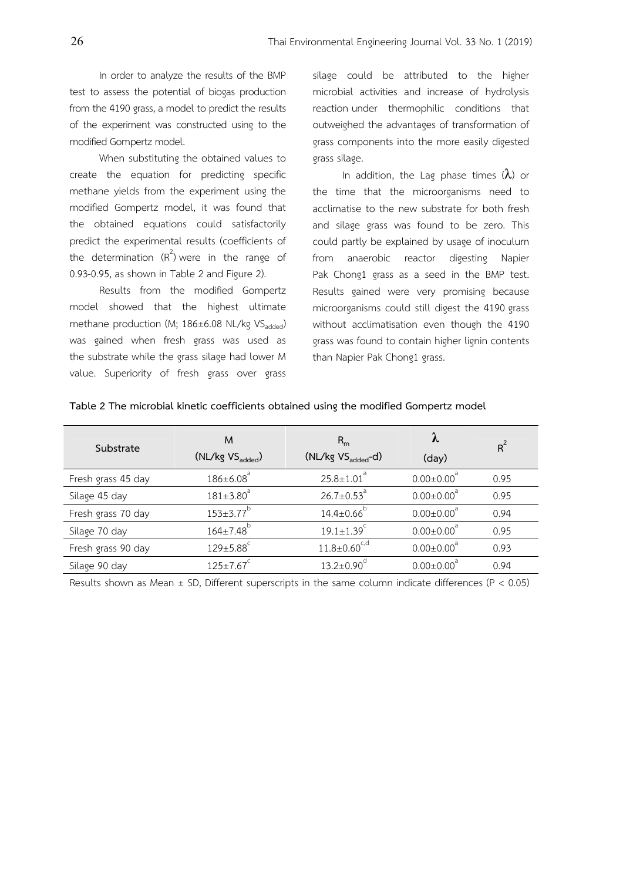In order to analyze the results of the BMP test to assess the potential of biogas production from the 4190 grass, a model to predict the results of the experiment was constructed using to the modified Gompertz model.

 When substituting the obtained values to create the equation for predicting specific methane yields from the experiment using the modified Gompertz model, it was found that the obtained equations could satisfactorily predict the experimental results (coefficients of the determination  $(R^2)$  were in the range of 0.93-0.95, as shown in Table 2 and Figure 2).

Results from the modified Gompertz model showed that the highest ultimate methane production (M; 186±6.08 NL/kg VS<sub>added</sub>) was gained when fresh grass was used as the substrate while the grass silage had lower M value. Superiority of fresh grass over grass

silage could be attributed to the higher microbial activities and increase of hydrolysis reaction under thermophilic conditions that outweighed the advantages of transformation of grass components into the more easily digested grass silage.

In addition, the Lag phase times  $(\lambda)$  or the time that the microorganisms need to acclimatise to the new substrate for both fresh and silage grass was found to be zero. This could partly be explained by usage of inoculum from anaerobic reactor digesting Napier Pak Chong1 grass as a seed in the BMP test. Results gained were very promising because microorganisms could still digest the 4190 grass without acclimatisation even though the 4190 grass was found to contain higher lignin contents than Napier Pak Chong1 grass.

| Substrate          | M                           | $R_{m}$                      | λ                            | $R^2$ |
|--------------------|-----------------------------|------------------------------|------------------------------|-------|
|                    | $(NL/kg VS_{added})$        | $(NL/kg VS_{added} - d)$     | (day)                        |       |
| Fresh grass 45 day | $186 \pm 6.08$ <sup>a</sup> | $25.8 \pm 1.01$ <sup>a</sup> | $0.00 \pm 0.00$ <sup>d</sup> | 0.95  |
| Silage 45 day      | $181 \pm 3.80^a$            | $26.7 \pm 0.53^{\circ}$      | $0.00 \pm 0.00^3$            | 0.95  |
| Fresh grass 70 day | $153 \pm 3.77$ <sup>b</sup> | $14.4 \pm 0.66^{\circ}$      | $0.00 \pm 0.00^a$            | 0.94  |
| Silage 70 day      | $164 \pm 7.48$ <sup>b</sup> | $19.1 \pm 1.39$ <sup>c</sup> | $0.00 \pm 0.00$ <sup>a</sup> | 0.95  |
| Fresh grass 90 day | $129 \pm 5.88$ <sup>c</sup> | $11.8 \pm 0.60^{\text{c,d}}$ | $0.00 \pm 0.00^a$            | 0.93  |
| Silage 90 day      | $125 \pm 7.67$ <sup>c</sup> | $13.2 \pm 0.90$ <sup>d</sup> | $0.00 \pm 0.00^a$            | 0.94  |
|                    |                             |                              |                              |       |

### **Table 2 The microbial kinetic coefficients obtained using the modified Gompertz model**

Results shown as Mean  $\pm$  SD, Different superscripts in the same column indicate differences (P < 0.05)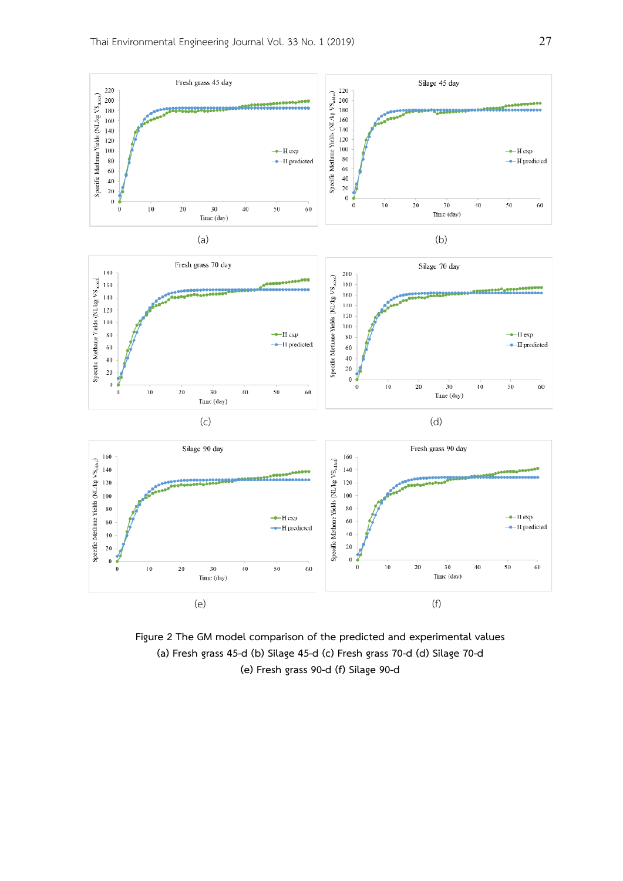

**Figure 2 The GM model comparison of the predicted and experimental values (a) Fresh grass 45-d (b) Silage 45-d (c) Fresh grass 70-d (d) Silage 70-d (e) Fresh grass 90-d (f) Silage 90-d**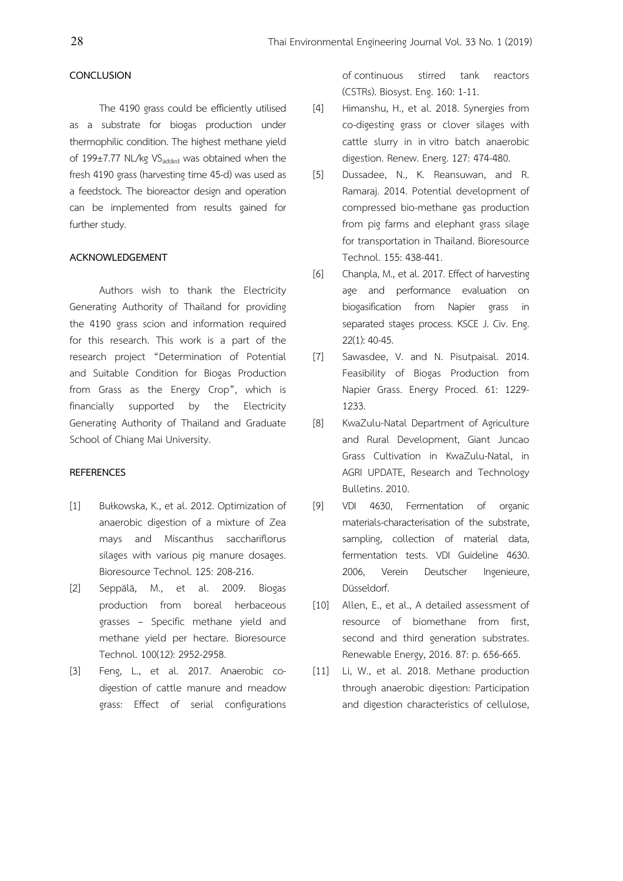#### **CONCLUSION**

The 4190 grass could be efficiently utilised as a substrate for biogas production under thermophilic condition. The highest methane yield of 199 $\pm$ 7.77 NL/kg VS<sub>added</sub> was obtained when the fresh 4190 grass (harvesting time 45-d) was used as a feedstock. The bioreactor design and operation can be implemented from results gained for further study.

#### **ACKNOWLEDGEMENT**

Authors wish to thank the Electricity Generating Authority of Thailand for providing the 4190 grass scion and information required for this research. This work is a part of the research project "Determination of Potential and Suitable Condition for Biogas Production from Grass as the Energy Crop", which is financially supported by the Electricity Generating Authority of Thailand and Graduate School of Chiang Mai University.

#### **REFERENCES**

- [1] Bułkowska, K., et al. 2012. Optimization of anaerobic digestion of a mixture of Zea mays and Miscanthus sacchariflorus silages with various pig manure dosages. Bioresource Technol. 125: 208-216.
- [2] Seppälä, M., et al. 2009. Biogas production from boreal herbaceous grasses – Specific methane yield and methane yield per hectare. Bioresource Technol. 100(12): 2952-2958.
- [3] Feng, L., et al. 2017. Anaerobic codigestion of cattle manure and meadow grass: Effect of serial configurations

of continuous stirred tank reactors (CSTRs). Biosyst. Eng. 160: 1-11.

- [4] Himanshu, H., et al. 2018. Synergies from co-digesting grass or clover silages with cattle slurry in in vitro batch anaerobic digestion. Renew. Energ. 127: 474-480.
- [5] Dussadee, N., K. Reansuwan, and R. Ramaraj. 2014. Potential development of compressed bio-methane gas production from pig farms and elephant grass silage for transportation in Thailand. Bioresource Technol. 155: 438-441.
- [6] Chanpla, M., et al. 2017. Effect of harvesting age and performance evaluation on biogasification from Napier grass in separated stages process. KSCE J. Civ. Eng. 22(1): 40-45.
- [7] Sawasdee, V. and N. Pisutpaisal. 2014. Feasibility of Biogas Production from Napier Grass. Energy Proced. 61: 1229- 1233.
- [8] KwaZulu-Natal Department of Agriculture and Rural Development, Giant Juncao Grass Cultivation in KwaZulu-Natal, in AGRI UPDATE, Research and Technology Bulletins. 2010.
- [9] VDI 4630, Fermentation of organic materials-characterisation of the substrate, sampling, collection of material data, fermentation tests. VDI Guideline 4630. 2006, Verein Deutscher Ingenieure, Düsseldorf.
- [10] Allen, E., et al., A detailed assessment of resource of biomethane from first, second and third generation substrates. Renewable Energy, 2016. 87: p. 656-665.
- [11] Li, W., et al. 2018. Methane production through anaerobic digestion: Participation and digestion characteristics of cellulose,